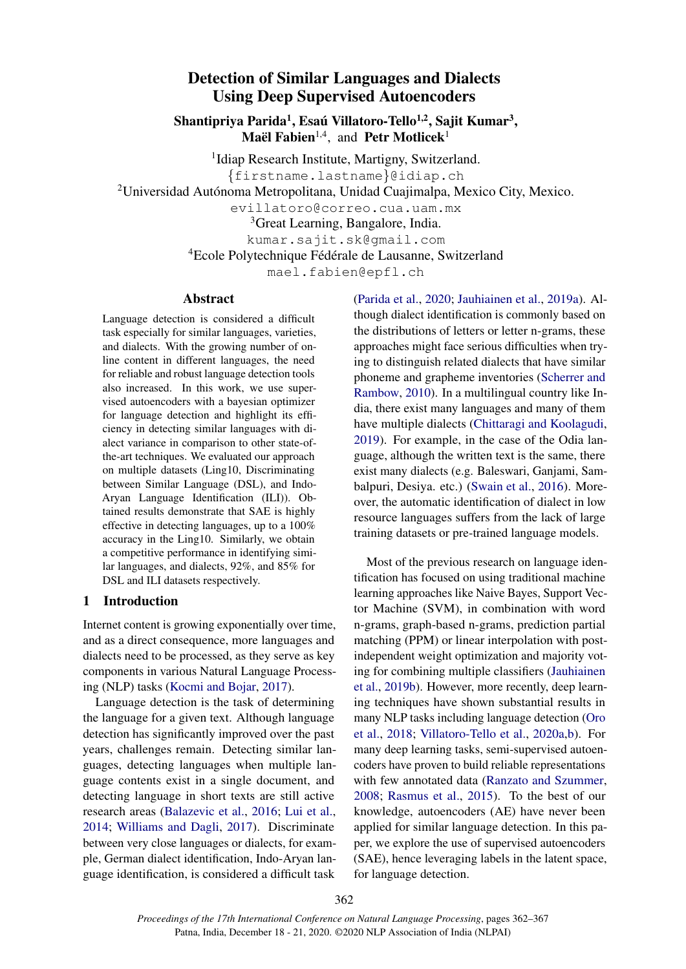# Detection of Similar Languages and Dialects Using Deep Supervised Autoencoders

Shantipriya Parida<sup>1</sup>, Esaú Villatoro-Tello<sup>1,2</sup>, Sajit Kumar<sup>3</sup>, Maël Fabien<sup>1,4</sup>, and Petr Motlicek<sup>1</sup>

> <sup>1</sup>Idiap Research Institute, Martigny, Switzerland. {firstname.lastname}@idiap.ch

<sup>2</sup>Universidad Autónoma Metropolitana, Unidad Cuajimalpa, Mexico City, Mexico.

evillatoro@correo.cua.uam.mx

<sup>3</sup>Great Learning, Bangalore, India.

kumar.sajit.sk@gmail.com

<sup>4</sup>Ecole Polytechnique Fédérale de Lausanne, Switzerland

mael.fabien@epfl.ch

# Abstract

Language detection is considered a difficult task especially for similar languages, varieties, and dialects. With the growing number of online content in different languages, the need for reliable and robust language detection tools also increased. In this work, we use supervised autoencoders with a bayesian optimizer for language detection and highlight its efficiency in detecting similar languages with dialect variance in comparison to other state-ofthe-art techniques. We evaluated our approach on multiple datasets (Ling10, Discriminating between Similar Language (DSL), and Indo-Aryan Language Identification (ILI)). Obtained results demonstrate that SAE is highly effective in detecting languages, up to a 100% accuracy in the Ling10. Similarly, we obtain a competitive performance in identifying similar languages, and dialects, 92%, and 85% for DSL and ILI datasets respectively.

# 1 Introduction

Internet content is growing exponentially over time, and as a direct consequence, more languages and dialects need to be processed, as they serve as key components in various Natural Language Processing (NLP) tasks [\(Kocmi and Bojar,](#page-4-0) [2017\)](#page-4-0).

Language detection is the task of determining the language for a given text. Although language detection has significantly improved over the past years, challenges remain. Detecting similar languages, detecting languages when multiple language contents exist in a single document, and detecting language in short texts are still active research areas [\(Balazevic et al.,](#page-4-1) [2016;](#page-4-1) [Lui et al.,](#page-5-0) [2014;](#page-5-0) [Williams and Dagli,](#page-5-1) [2017\)](#page-5-1). Discriminate between very close languages or dialects, for example, German dialect identification, Indo-Aryan language identification, is considered a difficult task

[\(Parida et al.,](#page-5-2) [2020;](#page-5-2) [Jauhiainen et al.,](#page-4-2) [2019a\)](#page-4-2). Although dialect identification is commonly based on the distributions of letters or letter n-grams, these approaches might face serious difficulties when trying to distinguish related dialects that have similar phoneme and grapheme inventories [\(Scherrer and](#page-5-3) [Rambow,](#page-5-3) [2010\)](#page-5-3). In a multilingual country like India, there exist many languages and many of them have multiple dialects [\(Chittaragi and Koolagudi,](#page-4-3) [2019\)](#page-4-3). For example, in the case of the Odia language, although the written text is the same, there exist many dialects (e.g. Baleswari, Ganjami, Sambalpuri, Desiya. etc.) [\(Swain et al.,](#page-5-4) [2016\)](#page-5-4). Moreover, the automatic identification of dialect in low resource languages suffers from the lack of large training datasets or pre-trained language models.

Most of the previous research on language identification has focused on using traditional machine learning approaches like Naive Bayes, Support Vector Machine (SVM), in combination with word n-grams, graph-based n-grams, prediction partial matching (PPM) or linear interpolation with postindependent weight optimization and majority voting for combining multiple classifiers [\(Jauhiainen](#page-4-4) [et al.,](#page-4-4) [2019b\)](#page-4-4). However, more recently, deep learning techniques have shown substantial results in many NLP tasks including language detection [\(Oro](#page-5-5) [et al.,](#page-5-5) [2018;](#page-5-5) [Villatoro-Tello et al.,](#page-5-6) [2020a,](#page-5-6)[b\)](#page-5-7). For many deep learning tasks, semi-supervised autoencoders have proven to build reliable representations with few annotated data [\(Ranzato and Szummer,](#page-5-8) [2008;](#page-5-8) [Rasmus et al.,](#page-5-9) [2015\)](#page-5-9). To the best of our knowledge, autoencoders (AE) have never been applied for similar language detection. In this paper, we explore the use of supervised autoencoders (SAE), hence leveraging labels in the latent space, for language detection.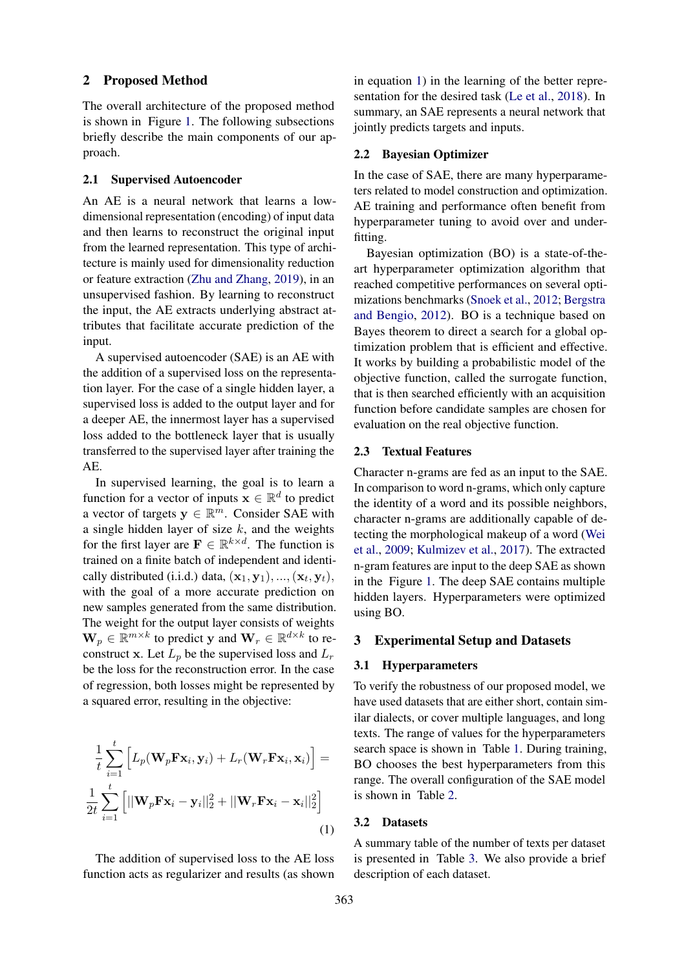#### 2 Proposed Method

The overall architecture of the proposed method is shown in Figure [1.](#page-2-0) The following subsections briefly describe the main components of our approach.

#### 2.1 Supervised Autoencoder

An AE is a neural network that learns a lowdimensional representation (encoding) of input data and then learns to reconstruct the original input from the learned representation. This type of architecture is mainly used for dimensionality reduction or feature extraction [\(Zhu and Zhang,](#page-5-10) [2019\)](#page-5-10), in an unsupervised fashion. By learning to reconstruct the input, the AE extracts underlying abstract attributes that facilitate accurate prediction of the input.

A supervised autoencoder (SAE) is an AE with the addition of a supervised loss on the representation layer. For the case of a single hidden layer, a supervised loss is added to the output layer and for a deeper AE, the innermost layer has a supervised loss added to the bottleneck layer that is usually transferred to the supervised layer after training the AE.

In supervised learning, the goal is to learn a function for a vector of inputs  $\mathbf{x} \in \mathbb{R}^d$  to predict a vector of targets  $y \in \mathbb{R}^m$ . Consider SAE with a single hidden layer of size  $k$ , and the weights for the first layer are  $\mathbf{F} \in \mathbb{R}^{k \times d}$ . The function is trained on a finite batch of independent and identically distributed (i.i.d.) data,  $(\mathbf{x}_1, \mathbf{y}_1), ..., (\mathbf{x}_t, \mathbf{y}_t)$ , with the goal of a more accurate prediction on new samples generated from the same distribution. The weight for the output layer consists of weights  $\mathbf{W}_p \in \mathbb{R}^{m \times k}$  to predict  $\mathbf{y}$  and  $\mathbf{W}_r \in \mathbb{R}^{d \times k}$  to reconstruct x. Let  $L_p$  be the supervised loss and  $L_r$ be the loss for the reconstruction error. In the case of regression, both losses might be represented by a squared error, resulting in the objective:

$$
\frac{1}{t}\sum_{i=1}^{t} \left[ L_p(\mathbf{W}_p \mathbf{F} \mathbf{x}_i, \mathbf{y}_i) + L_r(\mathbf{W}_r \mathbf{F} \mathbf{x}_i, \mathbf{x}_i) \right] =
$$
\n
$$
\frac{1}{2t}\sum_{i=1}^{t} \left[ ||\mathbf{W}_p \mathbf{F} \mathbf{x}_i - \mathbf{y}_i||_2^2 + ||\mathbf{W}_r \mathbf{F} \mathbf{x}_i - \mathbf{x}_i||_2^2 \right]
$$
\n(1)

The addition of supervised loss to the AE loss function acts as regularizer and results (as shown

in equation [1\)](#page-1-0) in the learning of the better representation for the desired task [\(Le et al.,](#page-4-5) [2018\)](#page-4-5). In summary, an SAE represents a neural network that jointly predicts targets and inputs.

#### 2.2 Bayesian Optimizer

In the case of SAE, there are many hyperparameters related to model construction and optimization. AE training and performance often benefit from hyperparameter tuning to avoid over and underfitting.

Bayesian optimization (BO) is a state-of-theart hyperparameter optimization algorithm that reached competitive performances on several optimizations benchmarks [\(Snoek et al.,](#page-5-11) [2012;](#page-5-11) [Bergstra](#page-4-6) [and Bengio,](#page-4-6) [2012\)](#page-4-6). BO is a technique based on Bayes theorem to direct a search for a global optimization problem that is efficient and effective. It works by building a probabilistic model of the objective function, called the surrogate function, that is then searched efficiently with an acquisition function before candidate samples are chosen for evaluation on the real objective function.

#### 2.3 Textual Features

Character n-grams are fed as an input to the SAE. In comparison to word n-grams, which only capture the identity of a word and its possible neighbors, character n-grams are additionally capable of detecting the morphological makeup of a word [\(Wei](#page-5-12) [et al.,](#page-5-12) [2009;](#page-5-12) [Kulmizev et al.,](#page-4-7) [2017\)](#page-4-7). The extracted n-gram features are input to the deep SAE as shown in the Figure [1.](#page-2-0) The deep SAE contains multiple hidden layers. Hyperparameters were optimized using BO.

### 3 Experimental Setup and Datasets

#### 3.1 Hyperparameters

To verify the robustness of our proposed model, we have used datasets that are either short, contain similar dialects, or cover multiple languages, and long texts. The range of values for the hyperparameters search space is shown in Table [1.](#page-2-1) During training, BO chooses the best hyperparameters from this range. The overall configuration of the SAE model is shown in Table [2.](#page-2-2)

#### <span id="page-1-0"></span>3.2 Datasets

A summary table of the number of texts per dataset is presented in Table [3.](#page-2-3) We also provide a brief description of each dataset.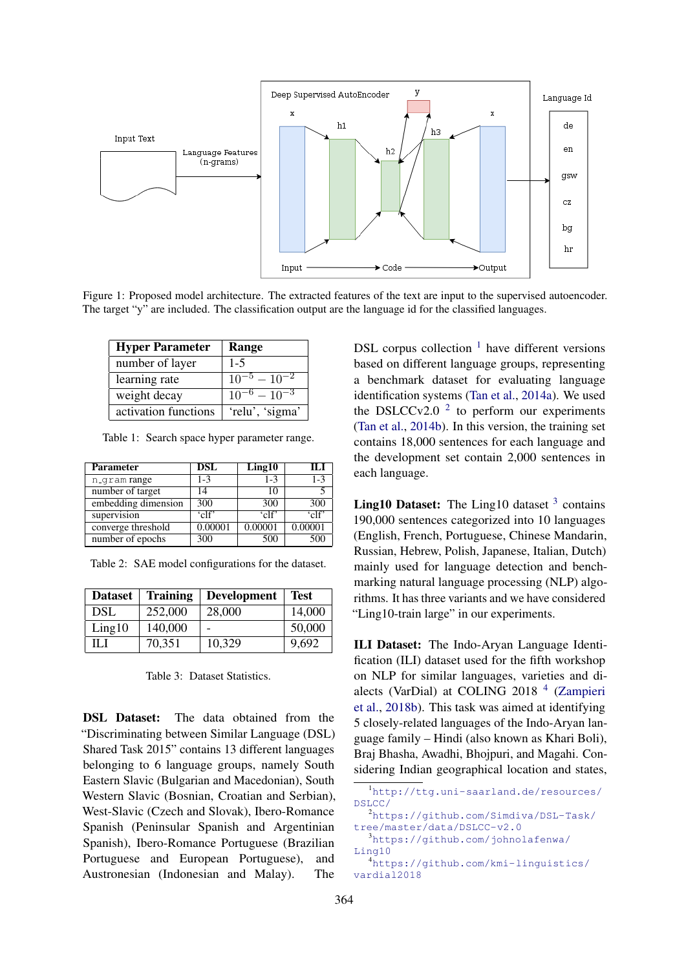<span id="page-2-0"></span>

Figure 1: Proposed model architecture. The extracted features of the text are input to the supervised autoencoder. The target "y" are included. The classification output are the language id for the classified languages.

<span id="page-2-1"></span>

| <b>Hyper Parameter</b> | Range                               |
|------------------------|-------------------------------------|
| number of layer        | $1 - 5$                             |
| learning rate          | $10^{-5} - 10^{-2}$                 |
| weight decay           | $\frac{10^{-6} - 10^{-3}}{10^{-3}}$ |
| activation functions   | 'relu', 'sigma'                     |

Table 1: Search space hyper parameter range.

<span id="page-2-2"></span>

| Parameter           | DSL      | Ling10   | ĦЛ              |
|---------------------|----------|----------|-----------------|
| n_gram range        | $1 - 3$  | $1 - 3$  | $1 - 3$         |
| number of target    | 14       |          |                 |
| embedding dimension | 300      | 300      | 300             |
| supervision         | $'$ clf' | $'$ clf' | $^{\circ}$ clf' |
| converge threshold  | 0.00001  | 0.00001  | 0.00001         |
| number of epochs    | 300      | 500      | 500             |

Table 2: SAE model configurations for the dataset.

<span id="page-2-3"></span>

| <b>Dataset</b> | <b>Training</b> | <b>Development</b> | <b>Test</b> |
|----------------|-----------------|--------------------|-------------|
| <b>DSL</b>     | 252,000         | 28,000             | 14,000      |
| Ling10         | 140,000         |                    | 50,000      |
| II J           | 70,351          | 10,329             | 9,692       |

Table 3: Dataset Statistics.

DSL Dataset: The data obtained from the "Discriminating between Similar Language (DSL) Shared Task 2015" contains 13 different languages belonging to 6 language groups, namely South Eastern Slavic (Bulgarian and Macedonian), South Western Slavic (Bosnian, Croatian and Serbian), West-Slavic (Czech and Slovak), Ibero-Romance Spanish (Peninsular Spanish and Argentinian Spanish), Ibero-Romance Portuguese (Brazilian Portuguese and European Portuguese), and Austronesian (Indonesian and Malay). The

DSL corpus collection  $1$  have different versions based on different language groups, representing a benchmark dataset for evaluating language identification systems [\(Tan et al.,](#page-5-13) [2014a\)](#page-5-13). We used the DSLCCv[2](#page-2-5).0  $2$  to perform our experiments [\(Tan et al.,](#page-5-14) [2014b\)](#page-5-14). In this version, the training set contains 18,000 sentences for each language and the development set contain 2,000 sentences in each language.

**Ling10 Dataset:** The Ling10 dataset  $3$  contains 190,000 sentences categorized into 10 languages (English, French, Portuguese, Chinese Mandarin, Russian, Hebrew, Polish, Japanese, Italian, Dutch) mainly used for language detection and benchmarking natural language processing (NLP) algorithms. It has three variants and we have considered "Ling10-train large" in our experiments.

ILI Dataset: The Indo-Aryan Language Identification (ILI) dataset used for the fifth workshop on NLP for similar languages, varieties and di-alects (VarDial) at COLING 2018<sup>[4](#page-2-7)</sup> [\(Zampieri](#page-5-15) [et al.,](#page-5-15) [2018b\)](#page-5-15). This task was aimed at identifying 5 closely-related languages of the Indo-Aryan language family – Hindi (also known as Khari Boli), Braj Bhasha, Awadhi, Bhojpuri, and Magahi. Considering Indian geographical location and states,

<span id="page-2-5"></span><sup>2</sup>[https://github.com/Simdiva/DSL-Task/](https://github.com/Simdiva/DSL-Task/tree/master/data/DSLCC-v2.0) [tree/master/data/DSLCC-v2.0](https://github.com/Simdiva/DSL-Task/tree/master/data/DSLCC-v2.0)

```
3https://github.com/johnolafenwa/
Ling10
```

```
4https://github.com/kmi-linguistics/
vardial2018
```
<span id="page-2-4"></span><sup>1</sup>[http://ttg.uni-saarland.de/resources/](http://ttg.uni-saarland.de/resources/DSLCC/) [DSLCC/](http://ttg.uni-saarland.de/resources/DSLCC/)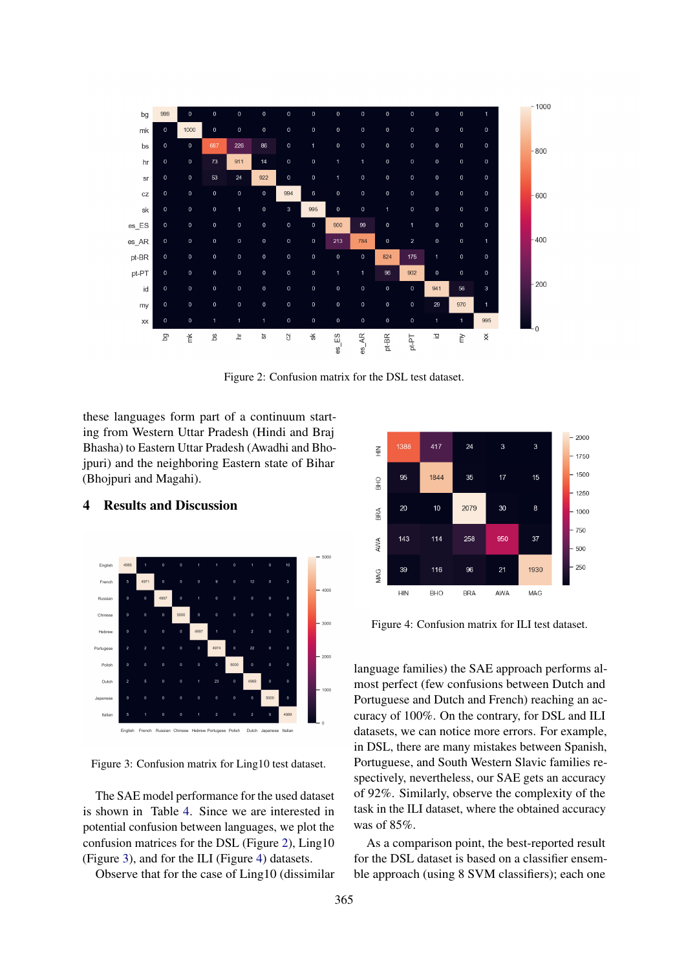<span id="page-3-0"></span>

Figure 2: Confusion matrix for the DSL test dataset.

these languages form part of a continuum starting from Western Uttar Pradesh (Hindi and Braj Bhasha) to Eastern Uttar Pradesh (Awadhi and Bhojpuri) and the neighboring Eastern state of Bihar (Bhojpuri and Magahi).

## 4 Results and Discussion

<span id="page-3-1"></span>

Figure 3: Confusion matrix for Ling10 test dataset.

The SAE model performance for the used dataset is shown in Table [4.](#page-4-8) Since we are interested in potential confusion between languages, we plot the confusion matrices for the DSL (Figure [2\)](#page-3-0), Ling10 (Figure [3\)](#page-3-1), and for the ILI (Figure [4\)](#page-3-2) datasets.

Observe that for the case of Ling10 (dissimilar

<span id="page-3-2"></span>

Figure 4: Confusion matrix for ILI test dataset.

language families) the SAE approach performs almost perfect (few confusions between Dutch and Portuguese and Dutch and French) reaching an accuracy of 100%. On the contrary, for DSL and ILI datasets, we can notice more errors. For example, in DSL, there are many mistakes between Spanish, Portuguese, and South Western Slavic families respectively, nevertheless, our SAE gets an accuracy of 92%. Similarly, observe the complexity of the task in the ILI dataset, where the obtained accuracy was of 85%.

As a comparison point, the best-reported result for the DSL dataset is based on a classifier ensemble approach (using 8 SVM classifiers); each one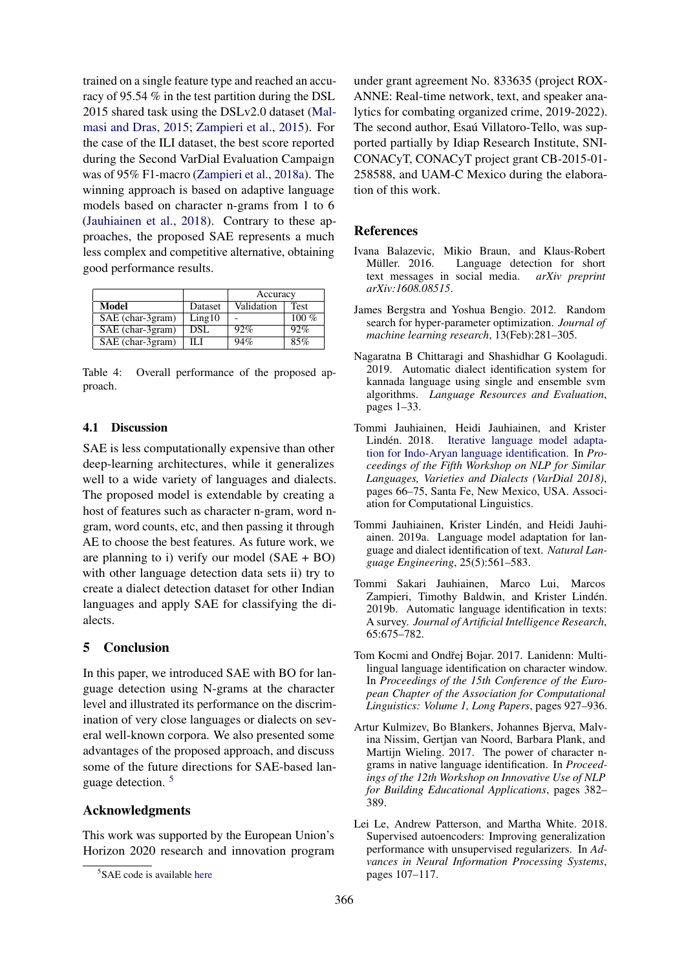trained on a single feature type and reached an accuracy of 95.54 % in the test partition during the DSL 2015 shared task using the DSLv2.0 dataset [\(Mal](#page-5-16)[masi and Dras,](#page-5-16) [2015;](#page-5-16) [Zampieri et al.,](#page-5-17) [2015\)](#page-5-17). For the case of the ILI dataset, the best score reported during the Second VarDial Evaluation Campaign was of 95% F1-macro [\(Zampieri et al.,](#page-5-18) [2018a\)](#page-5-18). The winning approach is based on adaptive language models based on character n-grams from 1 to 6 [\(Jauhiainen et al.,](#page-4-9) [2018\)](#page-4-9). Contrary to these approaches, the proposed SAE represents a much less complex and competitive alternative, obtaining good performance results.

<span id="page-4-8"></span>

|                  |         | Accuracy   |         |
|------------------|---------|------------|---------|
| Model            | Dataset | Validation | Test    |
| SAE (char-3gram) | Ling10  |            | 100 $%$ |
| SAE (char-3gram) | DSL     | 92%        | 92%     |
| SAE (char-3gram) | HЛ      | 94%        | 85%     |

Table 4: Overall performance of the proposed approach.

### 4.1 Discussion

SAE is less computationally expensive than other deep-learning architectures, while it generalizes well to a wide variety of languages and dialects. The proposed model is extendable by creating a host of features such as character n-gram, word ngram, word counts, etc, and then passing it through AE to choose the best features. As future work, we are planning to i) verify our model  $(SAE + BO)$ with other language detection data sets ii) try to create a dialect detection dataset for other Indian languages and apply SAE for classifying the dialects.

# 5 Conclusion

In this paper, we introduced SAE with BO for language detection using N-grams at the character level and illustrated its performance on the discrimination of very close languages or dialects on several well-known corpora. We also presented some advantages of the proposed approach, and discuss some of the future directions for SAE-based language detection. [5](#page-4-10)

### Acknowledgments

This work was supported by the European Union's Horizon 2020 research and innovation program

under grant agreement No. 833635 (project ROX-ANNE: Real-time network, text, and speaker analytics for combating organized crime, 2019-2022). The second author, Esaú Villatoro-Tello, was supported partially by Idiap Research Institute, SNI-CONACyT, CONACyT project grant CB-2015-01- 258588, and UAM-C Mexico during the elaboration of this work.

### References

- <span id="page-4-1"></span>Ivana Balazevic, Mikio Braun, and Klaus-Robert Müller. 2016. Language detection for short text messages in social media. *arXiv preprint arXiv:1608.08515*.
- <span id="page-4-6"></span>James Bergstra and Yoshua Bengio. 2012. Random search for hyper-parameter optimization. *Journal of machine learning research*, 13(Feb):281–305.
- <span id="page-4-3"></span>Nagaratna B Chittaragi and Shashidhar G Koolagudi. 2019. Automatic dialect identification system for kannada language using single and ensemble svm algorithms. *Language Resources and Evaluation*, pages 1–33.
- <span id="page-4-9"></span>Tommi Jauhiainen, Heidi Jauhiainen, and Krister Lindén. 2018. [Iterative language model adapta](https://www.aclweb.org/anthology/W18-3907)[tion for Indo-Aryan language identification.](https://www.aclweb.org/anthology/W18-3907) In *Proceedings of the Fifth Workshop on NLP for Similar Languages, Varieties and Dialects (VarDial 2018)*, pages 66–75, Santa Fe, New Mexico, USA. Association for Computational Linguistics.
- <span id="page-4-2"></span>Tommi Jauhiainen, Krister Linden, and Heidi Jauhi- ´ ainen. 2019a. Language model adaptation for language and dialect identification of text. *Natural Language Engineering*, 25(5):561–583.
- <span id="page-4-4"></span>Tommi Sakari Jauhiainen, Marco Lui, Marcos Zampieri, Timothy Baldwin, and Krister Lindén. 2019b. Automatic language identification in texts: A survey. *Journal of Artificial Intelligence Research*, 65:675–782.
- <span id="page-4-0"></span>Tom Kocmi and Ondřej Bojar. 2017. Lanidenn: Multilingual language identification on character window. In *Proceedings of the 15th Conference of the European Chapter of the Association for Computational Linguistics: Volume 1, Long Papers*, pages 927–936.
- <span id="page-4-7"></span>Artur Kulmizev, Bo Blankers, Johannes Bjerva, Malvina Nissim, Gertjan van Noord, Barbara Plank, and Martijn Wieling. 2017. The power of character ngrams in native language identification. In *Proceedings of the 12th Workshop on Innovative Use of NLP for Building Educational Applications*, pages 382– 389.
- <span id="page-4-5"></span>Lei Le, Andrew Patterson, and Martha White. 2018. Supervised autoencoders: Improving generalization performance with unsupervised regularizers. In *Advances in Neural Information Processing Systems*, pages 107–117.

<span id="page-4-10"></span><sup>5</sup> SAE code is available [here](https://github.com/idiap/sae_lang_detect)